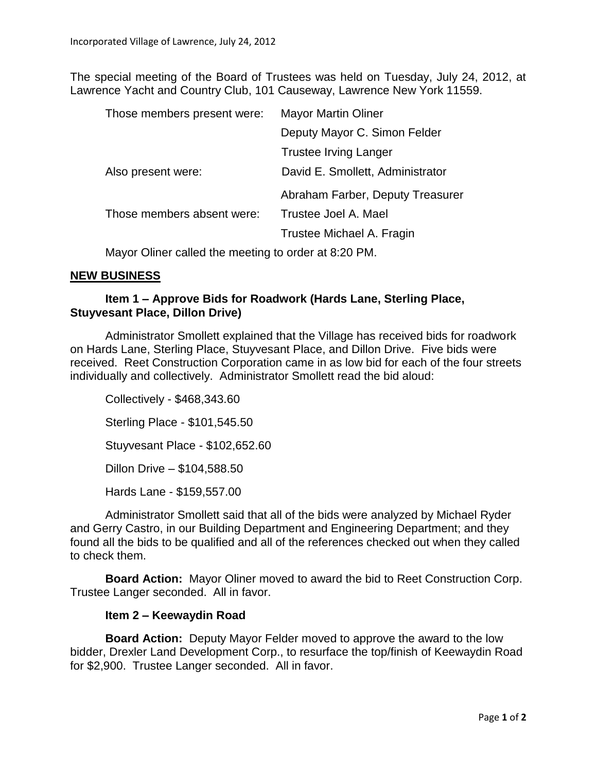The special meeting of the Board of Trustees was held on Tuesday, July 24, 2012, at Lawrence Yacht and Country Club, 101 Causeway, Lawrence New York 11559.

| Those members present were: | <b>Mayor Martin Oliner</b>       |
|-----------------------------|----------------------------------|
|                             | Deputy Mayor C. Simon Felder     |
|                             | <b>Trustee Irving Langer</b>     |
| Also present were:          | David E. Smollett, Administrator |
|                             | Abraham Farber, Deputy Treasurer |
| Those members absent were:  | Trustee Joel A. Mael             |
|                             | Trustee Michael A. Fragin        |
|                             |                                  |

Mayor Oliner called the meeting to order at 8:20 PM.

## **NEW BUSINESS**

## **Item 1 – Approve Bids for Roadwork (Hards Lane, Sterling Place, Stuyvesant Place, Dillon Drive)**

Administrator Smollett explained that the Village has received bids for roadwork on Hards Lane, Sterling Place, Stuyvesant Place, and Dillon Drive. Five bids were received. Reet Construction Corporation came in as low bid for each of the four streets individually and collectively. Administrator Smollett read the bid aloud:

Collectively - \$468,343.60 Sterling Place - \$101,545.50 Stuyvesant Place - \$102,652.60 Dillon Drive – \$104,588.50 Hards Lane - \$159,557.00

Administrator Smollett said that all of the bids were analyzed by Michael Ryder and Gerry Castro, in our Building Department and Engineering Department; and they found all the bids to be qualified and all of the references checked out when they called to check them.

**Board Action:** Mayor Oliner moved to award the bid to Reet Construction Corp. Trustee Langer seconded. All in favor.

## **Item 2 – Keewaydin Road**

**Board Action:** Deputy Mayor Felder moved to approve the award to the low bidder, Drexler Land Development Corp., to resurface the top/finish of Keewaydin Road for \$2,900. Trustee Langer seconded. All in favor.